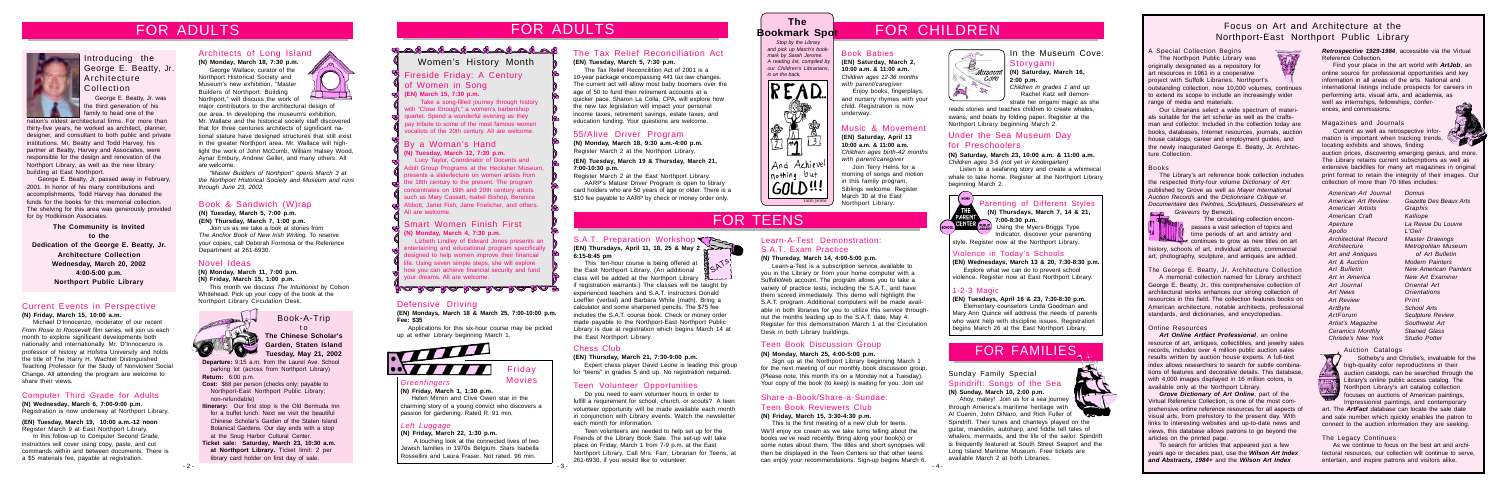**Departure:** 9:15 a.m. from the Laurel Ave. School parking lot (across from Northport Library) **Return:** 6:00 p.m.

**Cost:** \$68 per person (checks only; payable to Northport-East Northport Public Library; non-refundable)

**Itinerary:** Our first stop is the Old Bermuda Inn for a buffet lunch. Next we visit the beautiful Chinese Scholar's Garden of the Staten Island Botanical Gardens. Our day ends with a stop at the Snug Harbor Cultural Center.

#### S.A.T. Preparation Workshop **(EN) Thursdays, April 11, 18, 25 & May 2**

**Ticket sale: Saturday, March 23, 10:30 a.m. at Northport Library.** Ticket limit: 2 per library card holder on first day of sale.



Book-A-Trip

#### t o **The Chinese Scholar's Garden, Staten Island Tuesday, May 21, 2002**

**6:15-8:45 pm** This ten-hour course is being offered at

 Take a song-filled journey through history with "Close Enough," a women's barbershop quartet. Spend a wonderful evening as they pay tribute to some of the most famous women value to some of the most famous women and the culculum minimity. To display the velcome.<br>Vocalists of the 20th century. All are welcome.

> the East Northport Library. (An additional class will be added at the Northport Library if registration warrants.) The classes will be taught by experienced teachers and S.A.T. instructors Donald Loeffler (verbal) and Barbara White (math). Bring a calculator and some sharpened pencils. The \$75 fee includes the S.A.T. course book. Check or money order made payable to the Northport-East Northport Public Library is due at registration which begins March 14 at

the East Northport Library.

#### Learn-A-Test Demonstration: S.A.T. Exam Practice

#### **(N) Thursday, March 14, 4:00-5:00 p.m.**

Learn-a-Test is a subscription service available to you in the Library or from your home computer with a SuffolkWeb account. The program allows you to take a variety of practice tests, including the S.A.T., and have them scored immediately. This demo will highlight the S.A.T. program. Additional computers will be made available in both libraries for you to utilize this service throughout the months leading up to the S.A.T. date, May 4. Register for this demonstration March 1 at the Circulation Desk in both Library buildings.

**(EN) March 15, 7:30 p.m.**

**(EN) Saturday, April 13 10:00 a.m. & 11:00 a.m.** *Children ages birth-42 months with parent/caregiver*

Join Terry Heins for a morning of songs and motion in this family program. Siblings welcome. Register March 30 at the East Northport Library.

#### Computer Third Grade for Adults

**(N) Wednesday, March 6, 7:00-9:00 p.m.** Registration is now underway at Northport Library.

major contributors to the architectural design of our area. In developing the museum's exhibition, Mr. Wallace and the historical society staff discovered that for three centuries architects of significant national stature have designed structures that still exist in the greater Northport area. Mr. Wallace will highlight the work of John McComb, William Halsey Wood, Aynar Embury, Andrew Geller, and many others. All are welcome. The reads stories and teaches children to create whales, family to head one of the our area. In developing the museum's exhibition, and a metal of the our area in the reads stories and the reads stories and teaches childre

**(EN) Tuesday, March 19, 10:00 a.m.-12 noon** Register March 9 at East Northport Library.

In this follow-up to Computer Second Grade, instructors will cover using copy, paste, and cut commands within and between documents. There is a \$5 materials fee, payable at registration.

Parenting of Different Styles **(N) Thursdays, March 7, 14 & 21, 7:00-8:30 p.m.**

Using the Myers-Briggs Type Indicator, discover your parenting style. Register now at the Northport Library.

#### Violence in Today's Schools

**(EN) Wednesdays, March 13 & 20, 7:30-8:30 p.m.** Explore what we can do to prevent school violence. Register now at East Northport Library.

 *Stop by the Library and pick up March's bookmark by Sarah Jerome. A reading list, compiled by our Children's Librarians, is on the back.*



# FOR ADULTS THE SOLUTS FOR ADULTS FOR ADULTS FOR CHILDREN

#### **The Bookmark Spot**

#### *Greenfingers* **(N) Friday, March 1, 1:30 p.m.**

Helen Mirren and Clive Owen star in the charming story of a young convict who discovers a passion for gardening. Rated R. 91 min.

Friday Movies

## FOR FAMILIES

#### *Left Luggage*

**(N) Friday, March 22, 1:30 p.m.**

#### Sunday Family Special Spindrift: Songs of the Sea **(N) Sunday, March 10, 2:00 p.m.**

 A touching look at the connected lives of two Jewish families in 1970s Belgium. Stars Isabella Rossellini and Laura Fraser. Not rated. 96 min.

strate her origami magic as she<br>reads stories and teaches children to create whales. swans, and boats by folding paper. Register at the Northport Library beginning March 2.

Ahoy, matey! Join us for a sea journey through America's maritime heritage with Al Cuenin, John DiNaro, and Rich Fuller of Spindrift. Their tunes and chanteys played on the guitar, mandolin, autoharp, and fiddle tell tales of whalers, mermaids, and the life of the sailor. Spindrift is frequently featured at South Street Seaport and the Long Island Maritime Museum. Free tickets are available March 2 at both Libraries.

#### By a Woman's Hand

#### **(N) Tuesday, March 12, 7:30 p.m.**

Lucy Taylor, Coordinator of Docents and Adult Group Programs at the Hecksher Museum presents a slide/lecture on women artists from the 18th century to the present. The program concentrates on 19th and 20th century artists such as Mary Cassatt, Isabel Bishop, Berenice Abbott, Janet Fish, Jane Frielicher, and others. All are welcome.

 The circulating collection encompasses a vast selection of topics and time periods of art and artistry and continues to grow as new titles on art

#### Smart Women Finish First

#### **(N) Monday, March 4, 7:30 p.m.**

Lizbeth Lindley of Edward Jones presents an entertaining and educational program specificall designed to help women improve their financial life. Using seven simple steps, she will explore how you can achieve financial security and fund your dreams. All are welcome.

#### <u>yakahakakahakaf</u>

#### Architects of Long Island

**(N) Monday, March 18, 7:30 p.m.** George Wallace, curator of the

Northport Historical Society and Museum's new exhibition, "Master Builders of Northport: Building Northport," will discuss the work of



#### In the Museum Cove: Storygami

*"Master Builders of Northport" opens March 3 at the Northport Historical Society and Museum and runs through June 23, 2002.*

#### The Tax Relief Reconciliation Act

**(EN) Tuesday, March 5, 7:30 p.m.**

The Tax Relief Reconcilition Act of 2001 is a 10-year package encompassing 441 tax law changes. The current act will allow most baby boomers over the age of 50 to fund their retirement accounts at a quicker pace. Sharon La Colla, CPA, will explore how the new tax legislation will impact your personal income taxes, retirement savings, estate taxes, and education funding. Your questions are welcome.

 $-2 -$  - 2 -  $-4 -$ Teen volunteers are needed to help set up for the Friends of the Library Book Sale. The set-up will take place on Friday, March 1 from 7-9 p.m. at the East Northport Library. Call Mrs. Farr, Librarian for Teens, at 261-6930, if you would like to volunteer.

#### 1-2-3 Magic

#### **(EN) Tuesdays, April 16 & 23, 7:30-8:30 p.m.**

Elementary counselors Linda Goodman and Mary Ann Quince will address the needs of parents who want help with discipline issues. Registration begins March 26 at the East Northport Library.

### Share-a-Book/Share-a-Sundae:

#### Teen Book Reviewers Club

#### **(N) Friday, March 15, 3:30-4:30 p.m.**

This is the first meeting of a new club for teens. We'll enjoy ice cream as we take turns telling about the books we've read recently. Bring along your book(s) or some notes about them. The titles and short synopses will then be displayed in the Teen Centers so that other teens can enjoy your recommendations. Sign-up begins March 6.

## *Museum* (N) Saturday, March 16, core  $\rightarrow$

**2:00 p.m.**

*Children in grades 1 and up* Rachel Katz will demon-

#### Under the Sea Museum Day for Preschoolers

#### **(N) Saturday, March 23, 10:00 a.m. & 11:00 a.m.** *Children ages 3-5 (not yet in kindergarten)*

Listen to a seafaring story and create a whimsical whale to take home. Register at the Northport Library beginning March 2.

# THE<br>PARENT

Chess Club

#### **(EN) Thursday, March 21, 7:30-9:00 p.m.**

Expert chess player David Leone is leading this group for "teens" in grades 5 and up. No registration required.

#### Book Babies

**(EN) Saturday, March 2, 10:00 a.m. & 11:00 a.m.** *Children ages 12-36 months with parent/caregiver*

Enjoy books, fingerplays, and nursery rhymes with your child. Registration is now underway.



#### Introducing the George E. Beatty, Jr. Architecture Collection

George E. Beatty, Jr. was the third generation of his

#### Current Events in Perspective

**(N) Friday, March 15, 10:00 a.m.**

Michael D'Innocenzo, moderator of our recent *From Rosie to Roosevelt* film series, will join us each month to explore significant developments both nationally and internationally. Mr. D'Innocenzo is professor of history at Hofstra University and holds the title of The Harry H. Wachtel Distinguished Teaching Professor for the Study of Nonviolent Social Change. All attending the program are welcome to share their views.

#### A Special Collection Begins The Northport Public Library was

originally designated as a repository for art resources in 1961 in a cooperative project with Suffolk Libraries. Northport's



### Fireside Friday: A Century of Women in Song Women's History Month

outstanding collection, now 10,000 volumes, continues to extend its scope to include an increasingly wider range of media and materials.

Our Librarians select a wide spectrum of materials suitable for the art scholar as well as the craftsman and collector. Included in the collection today are books, databases, Internet resources, journals, auction house catalogs, career and employment guides, and the newly inaugurated George E. Beatty, Jr. Architecture Collection.

#### Books

The Library's art reference book collection includes the respected thirty-four volume *Dictionary of Art* published by Grove as well as *Mayer International Auction Records* and the *Dictionnaire Critique et Documentaire des Peintres, Sculpteurs, Dessinateurs et Graveurs* by Benezit.



history, schools of art, individual artists, commercial art, photography, sculpture, and antiques are added.

The George E. Beatty, Jr. Architecture Collection A memorial collection named for Library architect

George E. Beatty, Jr., this comprehensive collection of architectural works enhances our strong collection of resources in this field. The collection features books on American architecture, notable architects, professional standards, and dictionaries, and encyclopedias.

#### Online Resources

*Art Online Artfact Professional*, an online resource of art, antiques, collectibles, and jewelry sales records, includes over 4 million public auction sales results written by auction house experts. A full-text index allows researchers to search for subtle combinations of features and decorative details. This database, with 4,000 images displayed in 16 million colors, is available only at the Northport Library.

*Grove Dictionary of Art Online*, part of the Virtual Reference Collection, is one of the most comprehensive online reference resources for all aspects of visual arts, from prehistory to the present day. With links to interesting websites and up-to-date news and views, this database allows patrons to go beyond the articles on the printed page.

To search for articles that appeared just a few years ago or decades past, use the *Wilson Art Index and Abstracts, 1984+* and the *Wilson Art Index*

#### Auction Catalogs



 Sotheby's and Christie's, invaluable for the high-quality color reproductions in their auction catalogs, can be searched through the Library's online public access catalog. The Northport Library's art catalog collection focuses on auctions of American paintings, Impressionist paintings, and contemporary

art. The *ArtFact* database can locate the sale date and sale number which quickly enables the patron to connect to the auction information they are seeking.

#### The Legacy Continues

As we continue to focus on the best art and architectural resources, our collection will continue to serve, entertain, and inspire patrons and visitors alike.

#### Focus on Art and Architecture at the Northport-East Northport Public Library

#### Teen Volunteer Opportunities

Do you need to earn volunteer hours in order to fulfill a requirement for school, church, or scouts? A teen volunteer opportunity will be made available each month in conjunction with Library events. Watch the newsletter each month for information.

#### 55/Alive Driver Program

**(N) Monday, March 18, 9:30 a.m.-4:00 p.m.** Register March 2 at the Northport Library.

**(EN) Tuesday, March 19 & Thursday, March 21, 7:00-10:30 p.m.**

Register March 2 at the East Northport Library.

AARP's Mature Driver Program is open to library card holders who are 50 years of age or older. There is a \$10 fee payable to AARP by check or money order only.

#### Defensive Driving

**(EN) Mondays, March 18 & March 25, 7:00-10:00 p.m. Fee: \$35**

Applications for this six-hour course may be picked up at either Library beginning March 1.



## FOR ADULTS

## FOR TEENS

*Retrospective 1929-1984*, accessible via the Virtual Reference Collection.

Find your place in the art world with *ArtJob*, an online source for professional opportunities and key information in all areas of the arts. National and international listings include prospects for careers in performing arts, visual arts, and academia, as well as internships, fellowships, conferences, and commissions.

#### Magazines and Journals

Current as well as retrospective information is important when tracking trends, locating exhibits and shows, finding



auction prices, discovering emerging genius, and more. The Library retains current subscriptions as well as

#### Novel Ideas

**(N) Monday, March 11, 7:00 p.m. (N) Friday, March 15, 1:00 p.m.**

This month we discuss *The Intuitionist* by Colson Whitehead. Pick up your copy of the book at the Northport Library Circulation Desk.



#### Book & Sandwich (W)rap

**(N) Tuesday, March 5, 7:00 p.m. (EN) Thursday, March 7, 1:00 p.m.** Join us as we take a look at stories from

*The Anchor Book of New Irish Writing.* To reserve your copies, call Deborah Formosa or the Reference Department at 261-6930.

nation's oldest architectural firms. For more than thirty-five years, he worked as architect, planner, designer, and consultant to both public and private institutions. Mr. Beatty and Todd Harvey, his partner at Beatty, Harvey and Associates, were responsible for the design and renovation of the Northport Library, as well as the new library building at East Northport.

extensive backfiles for many art magazines in original print format to retain the integrity of their images. Our collection of more than 70 titles includes: *American Art Journal American Art Review Domus Gazette Des Beaux Arts*

George E. Beatty, Jr. passed away in February, 2001. In honor of his many contributions and accomplishments, Todd Harvey has donated the funds for the books for this memorial collection. The shelving for this area was generously provided for by Hodkinson Associates.

> **The Community is Invited to the**

**Dedication of the George E. Beatty, Jr. Architecture Collection Wednesday, March 20, 2002 4:00-5:00 p.m. Northport Public Library**

*American Artists American Craft Aperture Apollo Architectural Record Architecture Art and Antiques Art & Auction Art Bulletin Art in America Art Journal Art News Art Review ArtByte ArtForum Artist's Magazine Ceramics Monthly Christie's New York*

*Graphis Kalliope La Revue Du Louvre L'Oeil Master Drawings Metropolitan Museum of Art Bulletin Modern Painters New American Painters New Art Examiner Oriental Art Orientations Print School Arts Sculpture Review Southwest Art Stained Glass Studio Potter*



#### Teen Book Discussion Group

#### **(N) Monday, March 25, 4:00-5:00 p.m.**

Sign up at the Northport Library beginning March 1 for the next meeting of our monthly book discussion group. (Please note, this month it's on a Monday not a Tuesday). Your copy of the book (to keep) is waiting for you. Join us!